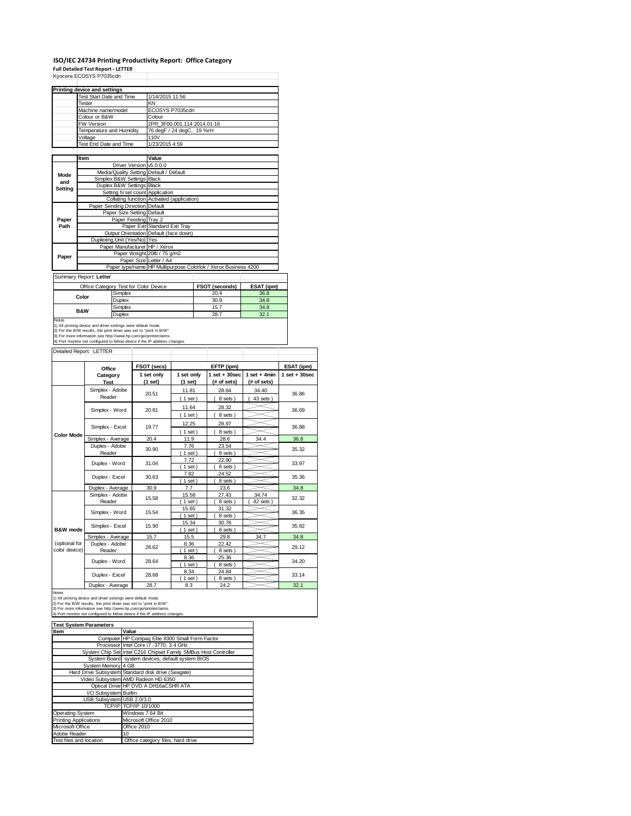#### **ISO/IEC 24734 Printing Productivity Report: Office Category**

|                     |                                                                            |                      | <b>Full Detailed Test Report - LETTER</b>                                     |                 |                             |  |                                                                |                 |  |                   |
|---------------------|----------------------------------------------------------------------------|----------------------|-------------------------------------------------------------------------------|-----------------|-----------------------------|--|----------------------------------------------------------------|-----------------|--|-------------------|
|                     | Kyocera ECOSYS P7035cdn                                                    |                      |                                                                               |                 |                             |  |                                                                |                 |  |                   |
|                     |                                                                            |                      |                                                                               |                 |                             |  |                                                                |                 |  |                   |
|                     | <b>Printing device and settings</b>                                        |                      |                                                                               |                 |                             |  |                                                                |                 |  |                   |
|                     | Test Start Date and Time                                                   |                      |                                                                               | 1/14/2015 11:56 |                             |  |                                                                |                 |  |                   |
|                     | Tester                                                                     |                      | ΚN                                                                            |                 |                             |  |                                                                |                 |  |                   |
|                     | Machine name/model<br>Colour or B&W                                        |                      |                                                                               | Colour          | ECOSYS P7035cdn             |  |                                                                |                 |  |                   |
|                     | <b>FW Version</b>                                                          |                      |                                                                               |                 | 2PR 3F00.001.114 2014.01.16 |  |                                                                |                 |  |                   |
|                     | Temperature and Humidity                                                   |                      |                                                                               |                 | 76 degF / 24 degC, 19 %rH   |  |                                                                |                 |  |                   |
|                     | Voltage                                                                    |                      | 110V                                                                          |                 |                             |  |                                                                |                 |  |                   |
|                     | Test End Date and Time                                                     |                      |                                                                               | 1/23/2015 4:59  |                             |  |                                                                |                 |  |                   |
|                     |                                                                            |                      |                                                                               |                 |                             |  |                                                                |                 |  |                   |
|                     | Item                                                                       |                      | Value                                                                         |                 |                             |  |                                                                |                 |  |                   |
|                     |                                                                            | Driver Version       |                                                                               | v5.0.0.0        |                             |  |                                                                |                 |  |                   |
| Mode                |                                                                            |                      | Media/Quality Setting Default / Default                                       |                 |                             |  |                                                                |                 |  |                   |
| and                 |                                                                            | Simplex B&W Settings | <b>Black</b>                                                                  |                 |                             |  |                                                                |                 |  |                   |
| Setting             |                                                                            | Duplex B&W Settings  | Black                                                                         |                 |                             |  |                                                                |                 |  |                   |
|                     |                                                                            |                      | Setting N set count Application<br>Collating function Activated (application) |                 |                             |  |                                                                |                 |  |                   |
|                     | Paper Sending Direction Default                                            |                      |                                                                               |                 |                             |  |                                                                |                 |  |                   |
|                     |                                                                            |                      | Paper Size Setting Default                                                    |                 |                             |  |                                                                |                 |  |                   |
| Paper               |                                                                            |                      | Paper Feeding Tray 2                                                          |                 |                             |  |                                                                |                 |  |                   |
| Path                |                                                                            |                      | Paper Exit Standard Exit Tray                                                 |                 |                             |  |                                                                |                 |  |                   |
|                     |                                                                            |                      | Output Orientation Default (face down)                                        |                 |                             |  |                                                                |                 |  |                   |
|                     |                                                                            |                      | Duplexing Unit (Yes/No) Yes                                                   |                 |                             |  |                                                                |                 |  |                   |
|                     |                                                                            |                      | Paper Manufacturer HP / Xerox                                                 |                 |                             |  |                                                                |                 |  |                   |
| Paper               |                                                                            |                      | Paper Weight 20lb / 75 g/m2                                                   |                 |                             |  |                                                                |                 |  |                   |
|                     |                                                                            |                      | Paper Size Letter / A4                                                        |                 |                             |  |                                                                |                 |  |                   |
|                     |                                                                            |                      |                                                                               |                 |                             |  | Paper type/name HP Multipurpose Colorlok / Xerox Business 4200 |                 |  |                   |
|                     | Summary Report: Letter                                                     |                      |                                                                               |                 |                             |  |                                                                |                 |  |                   |
|                     | Office Category Test for Color Device                                      |                      |                                                                               |                 |                             |  | FSOT (seconds)                                                 | ESAT (ipm)      |  |                   |
|                     |                                                                            | Simplex              |                                                                               |                 |                             |  | 20.4                                                           | 36.8            |  |                   |
|                     | Color                                                                      | Duplex               |                                                                               |                 |                             |  | 30.9                                                           | 34.8            |  |                   |
|                     | B&W                                                                        | Simplex              |                                                                               |                 |                             |  | 15.7                                                           | 34.8            |  |                   |
|                     |                                                                            | Duplex               |                                                                               |                 | 28.7                        |  |                                                                | 32.1            |  |                   |
| Notes               | 1) All printing device and driver settings were default mode.              |                      |                                                                               |                 |                             |  |                                                                |                 |  |                   |
|                     |                                                                            |                      |                                                                               |                 |                             |  |                                                                |                 |  |                   |
|                     | 2) For the B/W results, the print driver was set to "print in B/W".        |                      |                                                                               |                 |                             |  |                                                                |                 |  |                   |
|                     | 3) For more information see http://www.hp.com/go/printerclaims.            |                      |                                                                               |                 |                             |  |                                                                |                 |  |                   |
|                     | 4) Port monitor not configured to follow device if the IP address changes. |                      |                                                                               |                 |                             |  |                                                                |                 |  |                   |
|                     | Detailed Report: LETTER                                                    |                      |                                                                               |                 |                             |  |                                                                |                 |  |                   |
|                     |                                                                            |                      |                                                                               |                 |                             |  |                                                                |                 |  |                   |
|                     | Office                                                                     |                      | FSOT (secs)                                                                   |                 |                             |  | EFTP (ipm)                                                     |                 |  | ESAT (ipm)        |
|                     | Category                                                                   |                      | 1 set only                                                                    |                 | 1 set only                  |  | $1$ set $+30$ sec                                              | $1 set + 4 min$ |  | $1$ set $+30$ sec |
|                     | <b>Test</b>                                                                |                      | (1 set)                                                                       |                 | (1 set)                     |  | (# of sets)                                                    | (# of sets)     |  |                   |
|                     | Simplex - Adobe                                                            |                      |                                                                               |                 | 11.81                       |  | 28.64                                                          | 34.40           |  |                   |
|                     | Reader                                                                     |                      | 20.51                                                                         |                 | (1 set)                     |  | 8 sets)                                                        | 43 sets)        |  | 36.86             |
|                     |                                                                            |                      |                                                                               |                 |                             |  | 28.32                                                          |                 |  |                   |
|                     | Simplex - Word                                                             |                      | 20.81                                                                         |                 | 11.64                       |  | $\overline{ }$                                                 |                 |  | 36.69             |
|                     |                                                                            |                      |                                                                               |                 | (1 set)                     |  | 8 sets)                                                        |                 |  |                   |
|                     | Simplex - Excel                                                            |                      | 19.77                                                                         |                 | 12.25                       |  | 28.97                                                          |                 |  | 36.88             |
| <b>Color Mode</b>   |                                                                            |                      |                                                                               |                 | $1$ set)                    |  | 8 sets)                                                        |                 |  |                   |
|                     | Simplex - Average                                                          |                      | 20.4                                                                          |                 | 11.9                        |  | 28.6                                                           | 34.4            |  | 36.8              |
|                     | Duplex - Adobe                                                             |                      | 30.90                                                                         |                 | 7.76                        |  | 23.54                                                          |                 |  | 35.32             |
|                     | Reader                                                                     |                      |                                                                               |                 | $1$ set                     |  | 8 sets                                                         |                 |  |                   |
|                     | Duplex - Word                                                              |                      | 31.04                                                                         |                 | 7.72                        |  | 22.90                                                          |                 |  | 33.97             |
|                     |                                                                            |                      |                                                                               |                 | $1$ set)                    |  | 8 sets)                                                        |                 |  |                   |
|                     | Duplex - Excel                                                             |                      | 30.63                                                                         |                 | 7.82                        |  | 24.52                                                          |                 |  | 35.36             |
|                     |                                                                            |                      |                                                                               |                 | $1$ set<br>7.7              |  | 8 sets                                                         |                 |  | 34.8              |
|                     | Duplex - Average<br>Simplex - Adobe                                        |                      | 30.9                                                                          |                 | 15.58                       |  | 23.6<br>27.43                                                  | 34.74           |  |                   |
|                     | Reader                                                                     |                      | 15.58                                                                         |                 | $1$ set)                    |  | 8 sets                                                         | 42 sets)        |  | 32.32             |
|                     |                                                                            |                      |                                                                               |                 | 15.65                       |  | 31.32                                                          |                 |  |                   |
|                     | Simplex - Word                                                             |                      | 15.54                                                                         |                 | (1 set)                     |  | 8 sets)                                                        |                 |  | 36.35             |
|                     |                                                                            |                      | 15.90                                                                         |                 | 15.34                       |  | 30.78                                                          |                 |  | 35.82             |
| <b>B&amp;W</b> mode | Simplex - Excel                                                            |                      |                                                                               |                 | 1 set                       |  | 8 sets                                                         |                 |  |                   |
|                     | Simplex - Average                                                          |                      | 15.7                                                                          |                 | 15.5                        |  | 29.8                                                           | 34.7            |  | 34.8              |
| (optional for       | Duplex - Adobe                                                             |                      | 28.62                                                                         |                 | 8.36                        |  | 22.42                                                          |                 |  | 29.12             |
| color device)       | Reader<br>Duplex - Word                                                    |                      | 28.64                                                                         |                 | 1 <sub>set</sub><br>8.36    |  | 8 sets<br>25.36                                                |                 |  | 34.20             |

Duplex - Average 28.7 8.3 24.2 24.2 32.1<br>
1) All printing device and driver settings were default mode.<br>
2) For the B/W results, the print driver was set to "print in B/W".<br>
3) For more information see http://www.hp.com/g

Duplex - Excel

| <b>Test System Parameters</b> |                                                                 |  |  |
|-------------------------------|-----------------------------------------------------------------|--|--|
| Item                          | Value                                                           |  |  |
|                               | Computer HP Compag Elite 8300 Small Form Factor                 |  |  |
|                               | Processor Intel Core i7 -3770, 3.4 GHz                          |  |  |
|                               | System Chip Set Intel C216 Chipset Family SMBus Host Controller |  |  |
|                               | System Board system devices, default system BIOS                |  |  |
| System Memory 4 GB            |                                                                 |  |  |
|                               | Hard Drive Subsystem Standard disk drive (Seagate)              |  |  |
|                               | Video Subsystem AMD Radeon HD 6350                              |  |  |
|                               | Optical Drive HP DVD A DH16aCSHR ATA                            |  |  |
| I/O Subsystem Builtin         |                                                                 |  |  |
| USB Subsystem USB 2.0/3.0     |                                                                 |  |  |
|                               | TCP/IP TCP/IP 10/1000                                           |  |  |
| Operating System              | Windows 7 64 Bit                                                |  |  |
| <b>Printing Applications</b>  | Microsoft Office 2010                                           |  |  |
| Microsoft Office              | Office 2010                                                     |  |  |
| Adobe Reader                  | 10                                                              |  |  |
| Test files and location       | Office category files, hard drive                               |  |  |

28.68

 $\frac{8.34}{(1 \text{ set})}$ 8.34 24.84<br>(1 set ) (8 sets )

33.14

⋹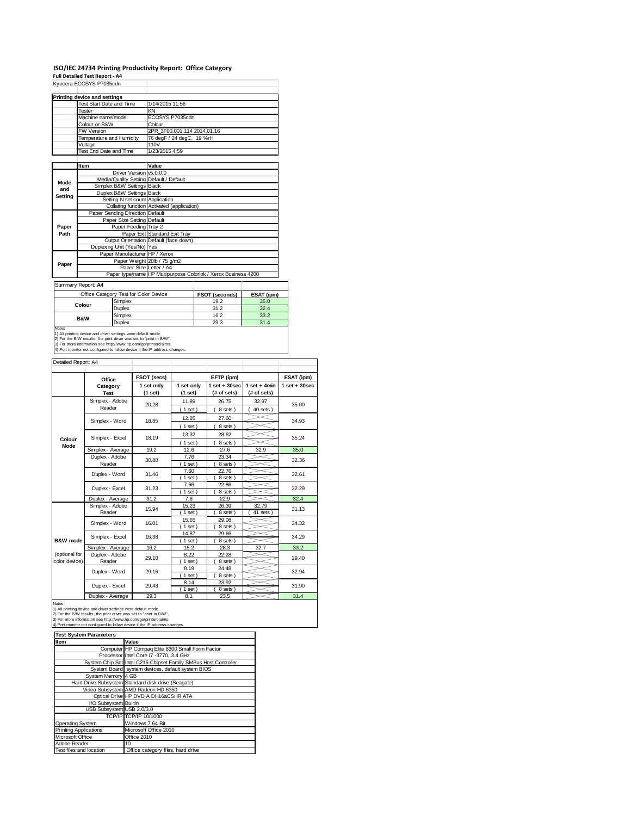# **ISO/IEC 24734 Printing Productivity Report: Office Category Full Detailed Test Report ‐ A4** Kyocera ECOSYS P7035cdn

|         | inyuutia LUUU IU I IUJJUUII             |                                                                |
|---------|-----------------------------------------|----------------------------------------------------------------|
|         | Printing device and settings            |                                                                |
|         | Test Start Date and Time                | 1/14/2015 11:56                                                |
|         | Tester                                  | KN                                                             |
|         | Machine name/model                      | ECOSYS P7035cdn                                                |
|         | Colour or B&W                           | Colour                                                         |
|         | <b>FW Version</b>                       | 2PR 3F00.001.114 2014.01.16                                    |
|         | Temperature and Humidity                | 76 degF / 24 degC, 19 %rH                                      |
|         | Voltage                                 | 110V                                                           |
|         | Test End Date and Time                  | 1/23/2015 4:59                                                 |
|         |                                         |                                                                |
|         | <b>Item</b>                             | Value                                                          |
|         | Driver Version v5.0.0.0                 |                                                                |
| Mode    | Media/Quality Setting Default / Default |                                                                |
| and     | Simplex B&W Settings Black              |                                                                |
| Setting | Duplex B&W Settings Black               |                                                                |
|         | Setting N set count Application         |                                                                |
|         |                                         | Collating function Activated (application)                     |
|         | Paper Sending Direction Default         |                                                                |
|         | Paper Size Setting Default              |                                                                |
| Paper   | Paper Feeding Tray 2                    |                                                                |
| Path    |                                         | Paper Exit Standard Exit Tray                                  |
|         |                                         | Output Orientation Default (face down)                         |
|         | Duplexing Unit (Yes/No) Yes             |                                                                |
|         | Paper Manufacturer HP / Xerox           |                                                                |
| Paper   |                                         | Paper Weight 20lb / 75 g/m2                                    |
|         | Paper Size Letter / A4                  |                                                                |
|         |                                         | Paper type/name HP Multipurpose Colorlok / Xerox Business 4200 |

Summary Report: **A4**

| Office Category Test for Color Device |                                                                            | <b>FSOT (seconds)</b> | ESAT (ipm) |  |  |  |
|---------------------------------------|----------------------------------------------------------------------------|-----------------------|------------|--|--|--|
| Colour                                | Simplex                                                                    | 19.2                  | 35.0       |  |  |  |
|                                       | <b>Duplex</b>                                                              | 31.2                  | 32.4       |  |  |  |
|                                       | Simplex                                                                    | 16.2                  | 33.2       |  |  |  |
| <b>B&amp;W</b>                        | <b>Duplex</b>                                                              | 29.3                  | 31.4       |  |  |  |
| Notes                                 |                                                                            |                       |            |  |  |  |
|                                       | 1) All printing device and driver settings were default mode.              |                       |            |  |  |  |
|                                       | 2) For the B/W results, the print driver was set to "print in B/W".        |                       |            |  |  |  |
|                                       | 3) For more information see http://www.hp.com/go/printerclaims.            |                       |            |  |  |  |
|                                       | 4) Port monitor not configured to follow device if the IP address changes. |                       |            |  |  |  |

Detailed Report: A4

| Detalled Report: A4 |                         |                       |                       |                                 |                               |                   |
|---------------------|-------------------------|-----------------------|-----------------------|---------------------------------|-------------------------------|-------------------|
|                     | Office                  | FSOT (secs)           |                       | EFTP (ipm)                      |                               | ESAT (ipm)        |
|                     | Category<br><b>Test</b> | 1 set only<br>(1 set) | 1 set only<br>(1 set) | $1 set + 30 sec$<br>(# of sets) | 1 set $+$ 4min<br>(# of sets) | $1$ set $+30$ sec |
|                     | Simplex - Adobe         | 20.28                 | 11.89                 | 26.75                           | 32.97                         | 35.00             |
|                     | Reader                  |                       | $1$ set)              | 8 sets)                         | 40 sets                       |                   |
|                     | Simplex - Word          | 18.85                 | 12.85                 | 27.60                           |                               | 34.93             |
|                     |                         |                       | $1$ set)              | 8 sets)                         |                               |                   |
|                     | Simplex - Excel         | 18.19                 | 13.32                 | 28.62                           |                               | 35.24             |
| Colour<br>Mode      |                         |                       | $1$ set)              | 8 sets)                         |                               |                   |
|                     | Simplex - Average       | 19.2                  | 12.6                  | 27.6                            | 32.9                          | 35.0              |
|                     | Duplex - Adobe          | 30.88                 | 7.76                  | 23.34                           |                               | 32.36             |
|                     | Reader                  |                       | $1$ set)              | 8 sets)                         |                               |                   |
|                     | Duplex - Word           | 31.46                 | 7.60                  | 22.76                           |                               | 32.61             |
|                     |                         |                       | $1$ set)              | 8 sets                          |                               |                   |
|                     | Duplex - Excel          | 31.23                 | 7.66                  | 22.86                           |                               | 32.29             |
|                     |                         |                       | $1$ set)              | 8 sets)                         |                               |                   |
|                     | Duplex - Average        | 31.2                  | 7.6                   | 22.9                            |                               | 32.4              |
|                     | Simplex - Adobe         | 15.94                 | 15.23                 | 26.39                           | 32.79                         | 31.13             |
|                     | Reader                  |                       | $1$ set)              | 8 sets                          | 41 sets                       |                   |
|                     | Simplex - Word          | 16.01                 | 15.65                 | 29.08                           |                               | 34.32             |
|                     |                         |                       | $1$ set)              | 8 sets                          |                               |                   |
|                     | Simplex - Excel         | 16.38                 | 14.87                 | 29.66                           |                               | 34.29             |
| B&W mode            |                         |                       | $1$ set)              | 8 sets                          |                               |                   |
|                     | Simplex - Average       | 16.2                  | 15.2                  | 28.3                            | 32.7                          | 33.2              |
| (optional for       | Duplex - Adobe          | 29.10                 | 8.22                  | 22.28                           |                               | 29.40             |
| color device)       | Reader                  |                       | $1$ set)              | 8 sets)                         |                               |                   |
|                     | Duplex - Word           | 29.16                 | 8.19                  | 24.48                           |                               | 32.94             |
|                     |                         |                       | $1$ set)              | 8 sets)                         |                               |                   |
|                     | Duplex - Excel          | 29.43                 | 8.14                  | 23.92                           |                               | 31.90             |
|                     |                         |                       | $1$ set)              | 8 sets                          |                               |                   |
|                     | Donations of            | $\sim$ $\sim$         | $\sim$ $\sim$         | $\sim$ $-$                      |                               | $\sim$ $\sim$     |

Duplex - Average 29.3 8.1 23.5 31.4 Notes 1) All printing device and driver settings were default mode. 2) For the B/W results, the print driver was set to "print in B/W". 3) For more information see http://www.hp.com/go/printerclaims. 4) Port monitor not configured to follow device if the IP address changes.

| <b>Test System Parameters</b> |                                                                 |  |  |  |
|-------------------------------|-----------------------------------------------------------------|--|--|--|
| Item                          | Value                                                           |  |  |  |
|                               | Computer HP Compaq Elite 8300 Small Form Factor                 |  |  |  |
|                               | Processor Intel Core i7 -3770, 3.4 GHz                          |  |  |  |
|                               | System Chip Set Intel C216 Chipset Family SMBus Host Controller |  |  |  |
|                               | System Board system devices, default system BIOS                |  |  |  |
| System Memory 4 GB            |                                                                 |  |  |  |
|                               | Hard Drive Subsystem Standard disk drive (Seagate)              |  |  |  |
|                               | Video Subsystem AMD Radeon HD 6350                              |  |  |  |
|                               | Optical Drive HP DVD A DH16aCSHR ATA                            |  |  |  |
| I/O Subsystem Builtin         |                                                                 |  |  |  |
| USB Subsystem USB 2.0/3.0     |                                                                 |  |  |  |
|                               | TCP/IP TCP/IP 10/1000                                           |  |  |  |
| <b>Operating System</b>       | Windows 7 64 Bit                                                |  |  |  |
| <b>Printing Applications</b>  | Microsoft Office 2010                                           |  |  |  |
| Microsoft Office              | Office 2010                                                     |  |  |  |
| Adobe Reader                  | 10                                                              |  |  |  |
| Test files and location       | Office category files, hard drive                               |  |  |  |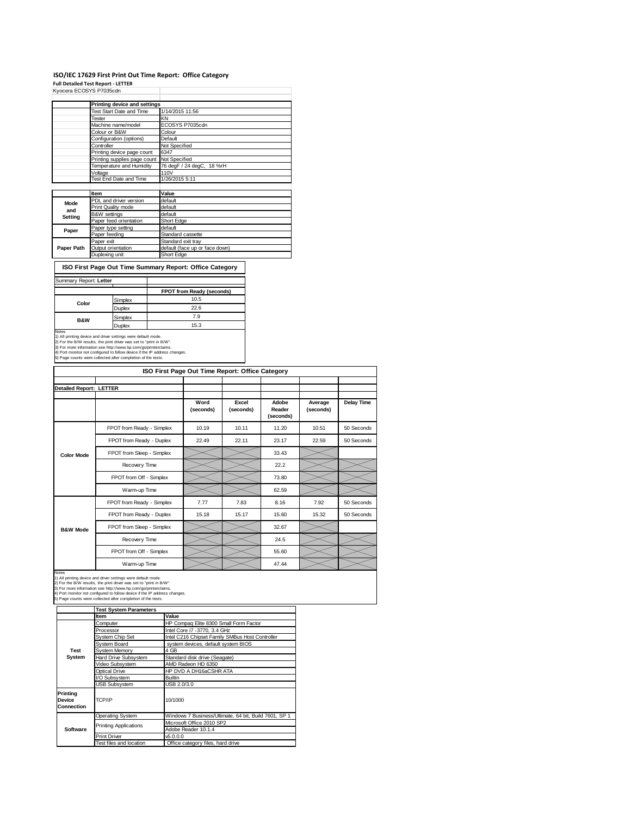## **ISO/IEC 17629 First Print Out Time Report: Office Category**

**Full Detailed Test Report ‐ LETTER** Kyocera ECOSYS P7035cdn

|            | Printing device and settings               |                                |
|------------|--------------------------------------------|--------------------------------|
|            | Test Start Date and Time                   | 1/14/2015 11:56                |
|            | Tester                                     | KN                             |
|            | Machine name/model                         | ECOSYS P7035cdn                |
|            | Colour or B&W                              | Colour                         |
|            | Configuration (options)                    | Default                        |
|            | Controller                                 | Not Specified                  |
|            | Printing device page count                 | 6347                           |
|            | Printing supplies page count Not Specified |                                |
|            | Temperature and Humidity                   | 76 degF / 24 degC, 18 %rH      |
|            | Voltage                                    | 110V                           |
|            | Test End Date and Time                     | 1/26/2015 5:11                 |
|            |                                            |                                |
|            | Item                                       | Value                          |
| Mode       | PDL and driver version                     | default                        |
| and        | Print Quality mode                         | default                        |
| Setting    | <b>B&amp;W</b> settings                    | default                        |
|            | Paper feed orientation                     | Short Edge                     |
| Paper      | Paper type setting                         | default                        |
|            | Paper feeding                              | Standard cassette              |
|            | Paper exit                                 | Standard exit tray             |
| Paper Path | Output orientation                         | default (face up or face down) |
|            | Duplexing unit                             | Short Edge                     |

 $\overline{\phantom{a}}$ **ISO First Page Out Time Summary Report: Office Category**

|                |               | FPOT from Ready (seconds) |
|----------------|---------------|---------------------------|
| Color          | Simplex       | 10.5                      |
|                | Duplex        | 22.6                      |
|                | Simplex       | 7.9                       |
| <b>B&amp;W</b> | <b>Duplex</b> | 15.3                      |

1) All printing device and driver settings were default mode.<br>2) For the B.W results, the print driver was set to "print in B.W".<br>3) For more information see http://www.hp.com/go/printerclaims.<br>4) Port monitor not configur

|                         | ISO First Page Out Time Report: Office Category |                   |                    |                              |                      |                   |
|-------------------------|-------------------------------------------------|-------------------|--------------------|------------------------------|----------------------|-------------------|
|                         |                                                 |                   |                    |                              |                      |                   |
| Detailed Report: LETTER |                                                 |                   |                    |                              |                      |                   |
|                         |                                                 | Word<br>(seconds) | Excel<br>(seconds) | Adobe<br>Reader<br>(seconds) | Average<br>(seconds) | <b>Delay Time</b> |
|                         | FPOT from Ready - Simplex                       | 10.19             | 10.11              | 11.20                        | 10.51                | 50 Seconds        |
|                         | FPOT from Ready - Duplex                        | 22.49             | 22.11              | 23.17                        | 22.59                | 50 Seconds        |
| <b>Color Mode</b>       | FPOT from Sleep - Simplex                       |                   |                    | 33.43                        |                      |                   |
|                         | Recovery Time                                   |                   |                    | 22.2                         |                      |                   |
|                         | FPOT from Off - Simplex                         |                   |                    | 73.80                        |                      |                   |
|                         | Warm-up Time                                    |                   |                    | 62.59                        |                      |                   |
|                         | FPOT from Ready - Simplex                       | 7.77              | 7.83               | 8.16                         | 7.92                 | 50 Seconds        |
|                         | FPOT from Ready - Duplex                        | 15.18             | 15.17              | 15.60                        | 15.32                | 50 Seconds        |
| <b>B&amp;W Mode</b>     | FPOT from Sleep - Simplex                       |                   |                    | 32.67                        |                      |                   |
|                         | Recovery Time                                   |                   |                    | 24.5                         |                      |                   |
|                         | FPOT from Off - Simplex                         |                   |                    | 55.60                        |                      |                   |
| <b>Notes</b>            | Warm-up Time                                    |                   |                    | 47.44                        |                      |                   |

Notes<br>1) All printing device and driver settings were default mode.<br>2) For the B/W results, the print driver was set to "print in B/W".<br>3) For more information see http://www.hp.com/go/printerclaims.<br>4) Port monitor not co

|                                         | <b>Test System Parameters</b>   |                                                       |
|-----------------------------------------|---------------------------------|-------------------------------------------------------|
|                                         | Item                            | Value                                                 |
|                                         | Computer                        | HP Compaq Elite 8300 Small Form Factor                |
|                                         | Processor                       | Intel Core i7 - 3770, 3.4 GHz                         |
|                                         | System Chip Set                 | Intel C216 Chipset Family SMBus Host Controller       |
|                                         | System Board                    | system devices, default system BIOS                   |
| <b>Test</b>                             | System Memory                   | 4 GB                                                  |
| System                                  | Hard Drive Subsystem            | Standard disk drive (Seagate)                         |
|                                         | Video Subsystem                 | AMD Radeon HD 6350                                    |
|                                         | Optical Drive                   | HP DVD A DH16aCSHR ATA                                |
|                                         | I/O Subsystem<br><b>Builtin</b> |                                                       |
|                                         | <b>USB Subsystem</b>            | USB 2.0/3.0                                           |
| Printing<br>Device<br><b>Connection</b> | TCP/IP                          | 10/1000                                               |
|                                         | <b>Operating System</b>         | Windows 7 Business/Ultimate, 64 bit, Build 7601, SP 1 |
|                                         | <b>Printing Applications</b>    | Microsoft Office 2010 SP2                             |
| Software                                |                                 | Adobe Reader 10.1.4                                   |
|                                         | <b>Print Driver</b>             | v5.0.0.0                                              |
|                                         | Test files and location         | Office category files, hard drive                     |